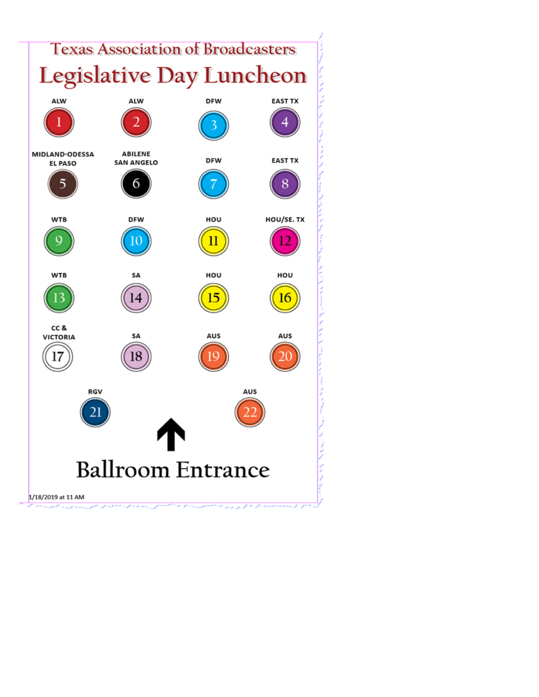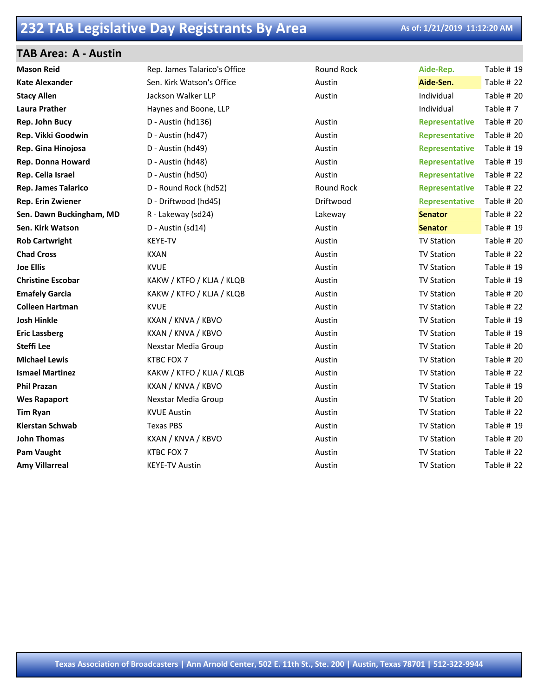### **TAB Area: A - Austin**

| <b>Mason Reid</b>          | Rep. James Talarico's Office | Round Rock        | Aide-Rep.             | Table # 19 |
|----------------------------|------------------------------|-------------------|-----------------------|------------|
| <b>Kate Alexander</b>      | Sen. Kirk Watson's Office    | Austin            | Aide-Sen.             | Table # 22 |
| <b>Stacy Allen</b>         | Jackson Walker LLP           | Austin            | Individual            | Table # 20 |
| <b>Laura Prather</b>       | Haynes and Boone, LLP        |                   | Individual            | Table #7   |
| Rep. John Bucy             | D - Austin (hd136)           | Austin            | <b>Representative</b> | Table # 20 |
| Rep. Vikki Goodwin         | D - Austin (hd47)            | Austin            | <b>Representative</b> | Table # 20 |
| Rep. Gina Hinojosa         | D - Austin (hd49)            | Austin            | <b>Representative</b> | Table # 19 |
| Rep. Donna Howard          | D - Austin (hd48)            | Austin            | <b>Representative</b> | Table # 19 |
| Rep. Celia Israel          | D - Austin (hd50)            | Austin            | <b>Representative</b> | Table # 22 |
| <b>Rep. James Talarico</b> | D - Round Rock (hd52)        | <b>Round Rock</b> | Representative        | Table # 22 |
| Rep. Erin Zwiener          | D - Driftwood (hd45)         | Driftwood         | Representative        | Table # 20 |
| Sen. Dawn Buckingham, MD   | R - Lakeway (sd24)           | Lakeway           | <b>Senator</b>        | Table # 22 |
| Sen. Kirk Watson           | D - Austin (sd14)            | Austin            | <b>Senator</b>        | Table # 19 |
| <b>Rob Cartwright</b>      | KEYE-TV                      | Austin            | <b>TV Station</b>     | Table # 20 |
| <b>Chad Cross</b>          | <b>KXAN</b>                  | Austin            | <b>TV Station</b>     | Table # 22 |
| <b>Joe Ellis</b>           | <b>KVUE</b>                  | Austin            | <b>TV Station</b>     | Table # 19 |
| <b>Christine Escobar</b>   | KAKW / KTFO / KLJA / KLQB    | Austin            | <b>TV Station</b>     | Table # 19 |
| <b>Emafely Garcia</b>      | KAKW / KTFO / KLJA / KLQB    | Austin            | <b>TV Station</b>     | Table # 20 |
| <b>Colleen Hartman</b>     | <b>KVUE</b>                  | Austin            | <b>TV Station</b>     | Table # 22 |
| <b>Josh Hinkle</b>         | KXAN / KNVA / KBVO           | Austin            | <b>TV Station</b>     | Table # 19 |
| <b>Eric Lassberg</b>       | KXAN / KNVA / KBVO           | Austin            | <b>TV Station</b>     | Table # 19 |
| <b>Steffi Lee</b>          | Nexstar Media Group          | Austin            | <b>TV Station</b>     | Table # 20 |
| <b>Michael Lewis</b>       | <b>KTBC FOX 7</b>            | Austin            | <b>TV Station</b>     | Table # 20 |
| <b>Ismael Martinez</b>     | KAKW / KTFO / KLIA / KLQB    | Austin            | <b>TV Station</b>     | Table # 22 |
| <b>Phil Prazan</b>         | KXAN / KNVA / KBVO           | Austin            | <b>TV Station</b>     | Table # 19 |
| <b>Wes Rapaport</b>        | Nexstar Media Group          | Austin            | <b>TV Station</b>     | Table # 20 |
| <b>Tim Ryan</b>            | <b>KVUE Austin</b>           | Austin            | <b>TV Station</b>     | Table # 22 |
| <b>Kierstan Schwab</b>     | <b>Texas PBS</b>             | Austin            | <b>TV Station</b>     | Table # 19 |
| <b>John Thomas</b>         | KXAN / KNVA / KBVO           | Austin            | <b>TV Station</b>     | Table # 20 |
| <b>Pam Vaught</b>          | KTBC FOX 7                   | Austin            | <b>TV Station</b>     | Table # 22 |
| <b>Amy Villarreal</b>      | <b>KEYE-TV Austin</b>        | Austin            | <b>TV Station</b>     | Table # 22 |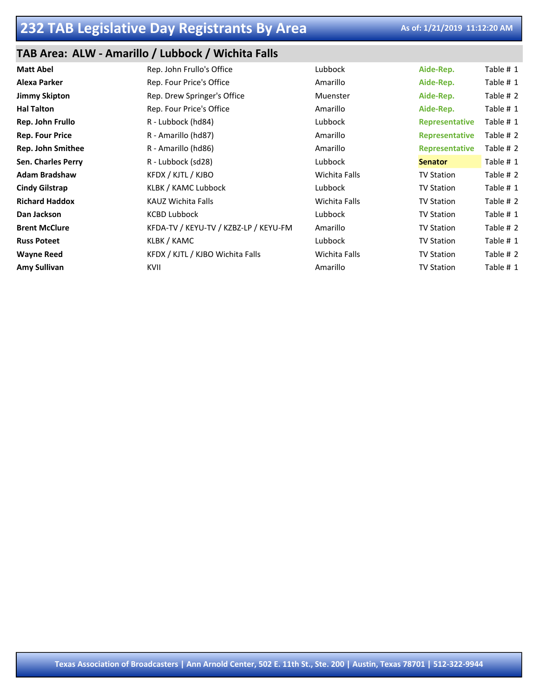### **TAB Area: ALW - Amarillo / Lubbock / Wichita Falls**

| <b>Matt Abel</b>         | Rep. John Frullo's Office             | Lubbock       | Aide-Rep.             | Table # 1 |
|--------------------------|---------------------------------------|---------------|-----------------------|-----------|
| <b>Alexa Parker</b>      | Rep. Four Price's Office              | Amarillo      | Aide-Rep.             | Table # 1 |
| <b>Jimmy Skipton</b>     | Rep. Drew Springer's Office           | Muenster      | Aide-Rep.             | Table # 2 |
| <b>Hal Talton</b>        | Rep. Four Price's Office              | Amarillo      | Aide-Rep.             | Table # 1 |
| Rep. John Frullo         | R - Lubbock (hd84)                    | Lubbock       | <b>Representative</b> | Table # 1 |
| <b>Rep. Four Price</b>   | R - Amarillo (hd87)                   | Amarillo      | <b>Representative</b> | Table # 2 |
| <b>Rep. John Smithee</b> | R - Amarillo (hd86)                   | Amarillo      | <b>Representative</b> | Table # 2 |
| Sen. Charles Perry       | R - Lubbock (sd28)                    | Lubbock       | <b>Senator</b>        | Table # 1 |
| <b>Adam Bradshaw</b>     | KFDX / KJTL / KJBO                    | Wichita Falls | <b>TV Station</b>     | Table # 2 |
| <b>Cindy Gilstrap</b>    | KLBK / KAMC Lubbock                   | Lubbock       | <b>TV Station</b>     | Table # 1 |
| <b>Richard Haddox</b>    | KAUZ Wichita Falls                    | Wichita Falls | <b>TV Station</b>     | Table # 2 |
| Dan Jackson              | <b>KCBD Lubbock</b>                   | Lubbock       | <b>TV Station</b>     | Table # 1 |
| <b>Brent McClure</b>     | KFDA-TV / KEYU-TV / KZBZ-LP / KEYU-FM | Amarillo      | <b>TV Station</b>     | Table # 2 |
| <b>Russ Poteet</b>       | KLBK / KAMC                           | Lubbock       | <b>TV Station</b>     | Table # 1 |
| <b>Wayne Reed</b>        | KFDX / KJTL / KJBO Wichita Falls      | Wichita Falls | <b>TV Station</b>     | Table # 2 |
| Amy Sullivan             | KVII                                  | Amarillo      | <b>TV Station</b>     | Table # 1 |
|                          |                                       |               |                       |           |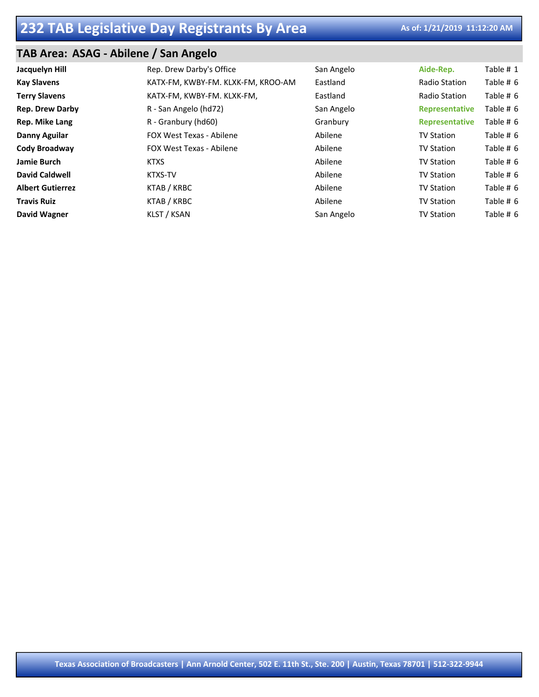### **TAB Area: ASAG - Abilene / San Angelo**

| Jacquelyn Hill          | Rep. Drew Darby's Office           | San Angelo | Aide-Rep.         | Table # 1 |
|-------------------------|------------------------------------|------------|-------------------|-----------|
| <b>Kay Slavens</b>      | KATX-FM, KWBY-FM. KLXK-FM, KROO-AM | Eastland   | Radio Station     | Table # 6 |
| <b>Terry Slavens</b>    | KATX-FM, KWBY-FM. KLXK-FM,         | Eastland   | Radio Station     | Table # 6 |
| <b>Rep. Drew Darby</b>  | R - San Angelo (hd72)              | San Angelo | Representative    | Table # 6 |
| Rep. Mike Lang          | R - Granbury (hd60)                | Granbury   | Representative    | Table # 6 |
| Danny Aguilar           | <b>FOX West Texas - Abilene</b>    | Abilene    | <b>TV Station</b> | Table # 6 |
| Cody Broadway           | <b>FOX West Texas - Abilene</b>    | Abilene    | <b>TV Station</b> | Table # 6 |
| Jamie Burch             | <b>KTXS</b>                        | Abilene    | <b>TV Station</b> | Table # 6 |
| David Caldwell          | <b>KTXS-TV</b>                     | Abilene    | <b>TV Station</b> | Table # 6 |
| <b>Albert Gutierrez</b> | KTAB / KRBC                        | Abilene    | <b>TV Station</b> | Table # 6 |
| <b>Travis Ruiz</b>      | KTAB / KRBC                        | Abilene    | <b>TV Station</b> | Table # 6 |
| <b>David Wagner</b>     | KLST / KSAN                        | San Angelo | <b>TV Station</b> | Table # 6 |
|                         |                                    |            |                   |           |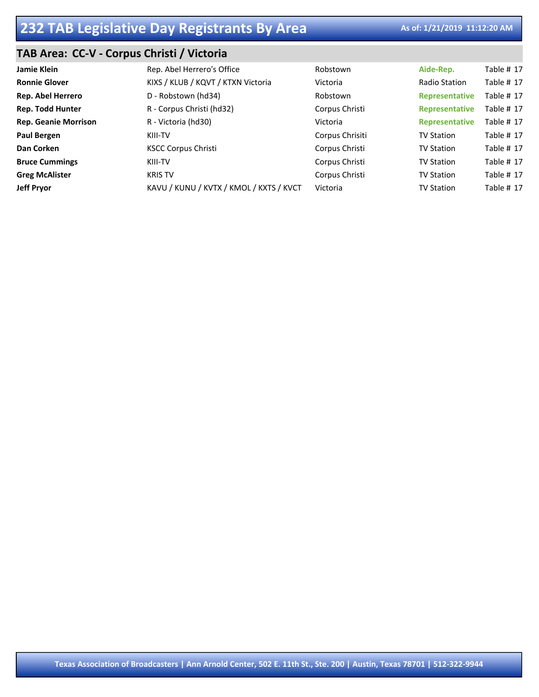### **TAB Area: CC-V - Corpus Christi / Victoria**

| Jamie Klein                 | Rep. Abel Herrero's Office              | Robstown        | Aide-Rep.         | <b>Table # 17</b> |
|-----------------------------|-----------------------------------------|-----------------|-------------------|-------------------|
| <b>Ronnie Glover</b>        | KIXS / KLUB / KQVT / KTXN Victoria      | Victoria        | Radio Station     | Table # 17        |
| Rep. Abel Herrero           | D - Robstown (hd34)                     | Robstown        | Representative    | Table # 17        |
| <b>Rep. Todd Hunter</b>     | R - Corpus Christi (hd32)               | Corpus Christi  | Representative    | Table # 17        |
| <b>Rep. Geanie Morrison</b> | R - Victoria (hd30)                     | Victoria        | Representative    | <b>Table # 17</b> |
| <b>Paul Bergen</b>          | KIII-TV                                 | Corpus Chrisiti | <b>TV Station</b> | Table # 17        |
| Dan Corken                  | <b>KSCC Corpus Christi</b>              | Corpus Christi  | <b>TV Station</b> | <b>Table # 17</b> |
| <b>Bruce Cummings</b>       | KIII-TV                                 | Corpus Christi  | <b>TV Station</b> | Table # 17        |
| <b>Greg McAlister</b>       | <b>KRIS TV</b>                          | Corpus Christi  | <b>TV Station</b> | <b>Table # 17</b> |
| <b>Jeff Pryor</b>           | KAVU / KUNU / KVTX / KMOL / KXTS / KVCT | Victoria        | <b>TV Station</b> | <b>Table # 17</b> |
|                             |                                         |                 |                   |                   |

**Texas Association of Broadcasters | Ann Arnold Center, 502 E. 11th St., Ste. 200 | Austin, Texas 78701 | 512-322-9944**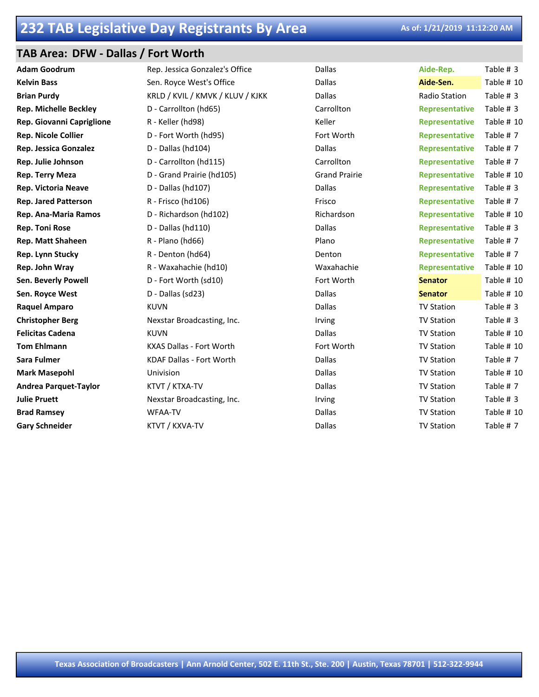### **TAB Area: DFW - Dallas / Fort Worth**

| <b>Adam Goodrum</b>          | Rep. Jessica Gonzalez's Office   | Dallas               | Aide-Rep.             | Table # 3    |
|------------------------------|----------------------------------|----------------------|-----------------------|--------------|
| <b>Kelvin Bass</b>           | Sen. Royce West's Office         | Dallas               | Aide-Sen.             | Table # 10   |
| <b>Brian Purdy</b>           | KRLD / KVIL / KMVK / KLUV / KJKK | Dallas               | Radio Station         | Table # 3    |
| <b>Rep. Michelle Beckley</b> | D - Carrollton (hd65)            | Carrollton           | <b>Representative</b> | Table # 3    |
| Rep. Giovanni Capriglione    | R - Keller (hd98)                | Keller               | <b>Representative</b> | Table # 10   |
| <b>Rep. Nicole Collier</b>   | D - Fort Worth (hd95)            | Fort Worth           | <b>Representative</b> | Table #7     |
| Rep. Jessica Gonzalez        | D - Dallas (hd104)               | Dallas               | <b>Representative</b> | Table #7     |
| Rep. Julie Johnson           | D - Carrollton (hd115)           | Carrollton           | <b>Representative</b> | Table #7     |
| Rep. Terry Meza              | D - Grand Prairie (hd105)        | <b>Grand Prairie</b> | <b>Representative</b> | Table # 10   |
| <b>Rep. Victoria Neave</b>   | D - Dallas (hd107)               | Dallas               | <b>Representative</b> | Table # 3    |
| <b>Rep. Jared Patterson</b>  | R - Frisco (hd106)               | Frisco               | <b>Representative</b> | Table #7     |
| Rep. Ana-Maria Ramos         | D - Richardson (hd102)           | Richardson           | <b>Representative</b> | Table $# 10$ |
| <b>Rep. Toni Rose</b>        | D - Dallas (hd110)               | <b>Dallas</b>        | <b>Representative</b> | Table # 3    |
| <b>Rep. Matt Shaheen</b>     | R - Plano (hd66)                 | Plano                | <b>Representative</b> | Table #7     |
| Rep. Lynn Stucky             | R - Denton (hd64)                | Denton               | <b>Representative</b> | Table #7     |
| Rep. John Wray               | R - Waxahachie (hd10)            | Waxahachie           | <b>Representative</b> | Table # 10   |
| Sen. Beverly Powell          | D - Fort Worth (sd10)            | Fort Worth           | <b>Senator</b>        | Table # 10   |
| Sen. Royce West              | D - Dallas (sd23)                | Dallas               | <b>Senator</b>        | Table $# 10$ |
| <b>Raquel Amparo</b>         | <b>KUVN</b>                      | Dallas               | <b>TV Station</b>     | Table # 3    |
| <b>Christopher Berg</b>      | Nexstar Broadcasting, Inc.       | Irving               | <b>TV Station</b>     | Table # 3    |
| <b>Felicitas Cadena</b>      | <b>KUVN</b>                      | <b>Dallas</b>        | <b>TV Station</b>     | Table $# 10$ |
| <b>Tom Ehlmann</b>           | <b>KXAS Dallas - Fort Worth</b>  | Fort Worth           | <b>TV Station</b>     | Table # 10   |
| <b>Sara Fulmer</b>           | <b>KDAF Dallas - Fort Worth</b>  | Dallas               | <b>TV Station</b>     | Table #7     |
| <b>Mark Masepohl</b>         | Univision                        | Dallas               | <b>TV Station</b>     | Table # 10   |
| <b>Andrea Parquet-Taylor</b> | KTVT / KTXA-TV                   | Dallas               | <b>TV Station</b>     | Table #7     |
| <b>Julie Pruett</b>          | Nexstar Broadcasting, Inc.       | Irving               | <b>TV Station</b>     | Table # 3    |
| <b>Brad Ramsey</b>           | <b>WFAA-TV</b>                   | Dallas               | <b>TV Station</b>     | Table # 10   |
| <b>Gary Schneider</b>        | KTVT / KXVA-TV                   | Dallas               | <b>TV Station</b>     | Table #7     |
|                              |                                  |                      |                       |              |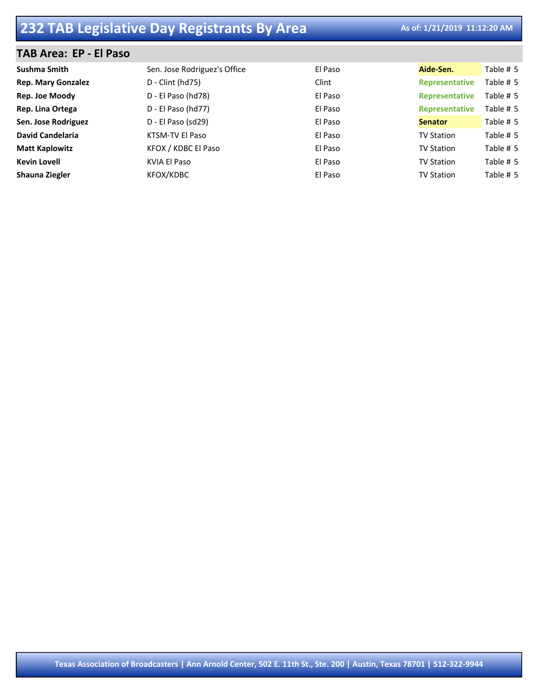### **TAB Area: EP - El Paso**

| Sushma Smith              | Sen. Jose Rodriguez's Office | El Paso | Aide-Sen.             | Table # 5 |
|---------------------------|------------------------------|---------|-----------------------|-----------|
| <b>Rep. Mary Gonzalez</b> | $D$ - Clint (hd75)           | Clint   | Representative        | Table # 5 |
| Rep. Joe Moody            | D - El Paso (hd78)           | El Paso | <b>Representative</b> | Table # 5 |
| Rep. Lina Ortega          | D - El Paso (hd77)           | El Paso | <b>Representative</b> | Table # 5 |
| Sen. Jose Rodriguez       | D - El Paso (sd29)           | El Paso | <b>Senator</b>        | Table # 5 |
| <b>David Candelaria</b>   | KTSM-TV El Paso              | El Paso | <b>TV Station</b>     | Table # 5 |
| <b>Matt Kaplowitz</b>     | KFOX / KDBC El Paso          | El Paso | <b>TV Station</b>     | Table # 5 |
| <b>Kevin Lovell</b>       | KVIA El Paso                 | El Paso | <b>TV Station</b>     | Table # 5 |
| Shauna Ziegler            | KFOX/KDBC                    | El Paso | <b>TV Station</b>     | Table # 5 |
|                           |                              |         |                       |           |

**Texas Association of Broadcasters | Ann Arnold Center, 502 E. 11th St., Ste. 200 | Austin, Texas 78701 | 512-322-9944**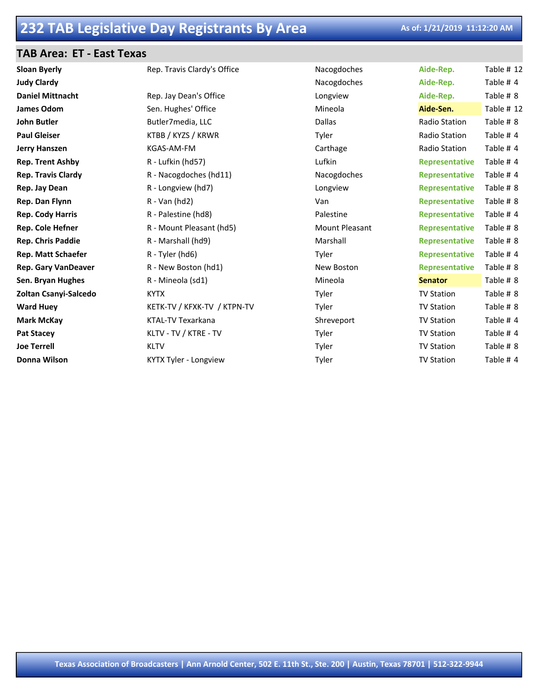### **TAB Area: ET - East Texas**

| <b>Sloan Byerly</b>        | Rep. Travis Clardy's Office | Nacogdoches    | Aide-Rep.             | Table # 12 |
|----------------------------|-----------------------------|----------------|-----------------------|------------|
| <b>Judy Clardy</b>         |                             | Nacogdoches    | Aide-Rep.             | Table #4   |
| <b>Daniel Mittnacht</b>    | Rep. Jay Dean's Office      | Longview       | Aide-Rep.             | Table # 8  |
| James Odom                 | Sen. Hughes' Office         | Mineola        | Aide-Sen.             | Table # 12 |
| <b>John Butler</b>         | Butler7media, LLC           | <b>Dallas</b>  | <b>Radio Station</b>  | Table # 8  |
| <b>Paul Gleiser</b>        | KTBB / KYZS / KRWR          | Tyler          | Radio Station         | Table # 4  |
| <b>Jerry Hanszen</b>       | KGAS-AM-FM                  | Carthage       | Radio Station         | Table #4   |
| <b>Rep. Trent Ashby</b>    | R - Lufkin (hd57)           | Lufkin         | <b>Representative</b> | Table #4   |
| <b>Rep. Travis Clardy</b>  | R - Nacogdoches (hd11)      | Nacogdoches    | Representative        | Table #4   |
| Rep. Jay Dean              | R - Longview (hd7)          | Longview       | <b>Representative</b> | Table # 8  |
| Rep. Dan Flynn             | $R - Van (hd2)$             | Van            | <b>Representative</b> | Table # 8  |
| <b>Rep. Cody Harris</b>    | R - Palestine (hd8)         | Palestine      | Representative        | Table #4   |
| Rep. Cole Hefner           | R - Mount Pleasant (hd5)    | Mount Pleasant | <b>Representative</b> | Table # 8  |
| <b>Rep. Chris Paddie</b>   | R - Marshall (hd9)          | Marshall       | <b>Representative</b> | Table # 8  |
| <b>Rep. Matt Schaefer</b>  | R - Tyler (hd6)             | Tyler          | <b>Representative</b> | Table #4   |
| <b>Rep. Gary VanDeaver</b> | R - New Boston (hd1)        | New Boston     | <b>Representative</b> | Table # 8  |
| Sen. Bryan Hughes          | R - Mineola (sd1)           | Mineola        | <b>Senator</b>        | Table # 8  |
| Zoltan Csanyi-Salcedo      | <b>KYTX</b>                 | Tyler          | <b>TV Station</b>     | Table # 8  |
| <b>Ward Huey</b>           | KETK-TV / KFXK-TV / KTPN-TV | Tyler          | <b>TV Station</b>     | Table # 8  |
| <b>Mark McKay</b>          | <b>KTAL-TV Texarkana</b>    | Shreveport     | <b>TV Station</b>     | Table #4   |
| <b>Pat Stacey</b>          | KLTV - TV / KTRE - TV       | Tyler          | <b>TV Station</b>     | Table #4   |
| <b>Joe Terrell</b>         | <b>KLTV</b>                 | Tyler          | <b>TV Station</b>     | Table # 8  |
| Donna Wilson               | KYTX Tyler - Longview       | Tyler          | <b>TV Station</b>     | Table #4   |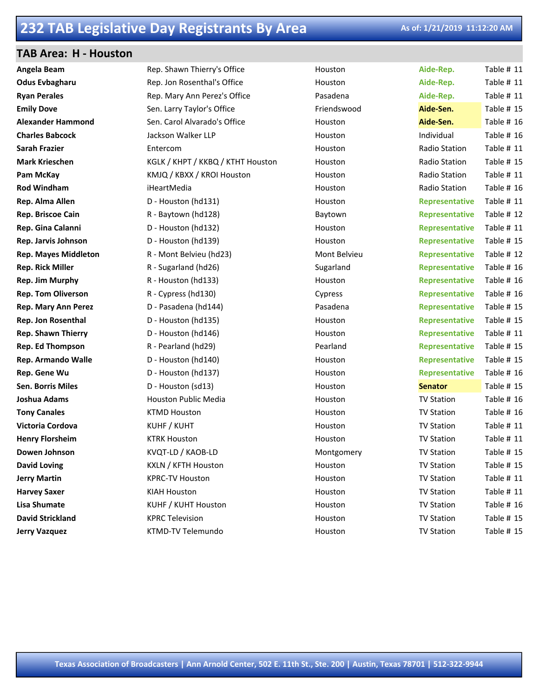### **TAB Area: H - Houston**

| Angela Beam                 | Rep. Shawn Thierry's Office       | Houston      | Aide-Rep.             | Table # 11 |
|-----------------------------|-----------------------------------|--------------|-----------------------|------------|
| <b>Odus Evbagharu</b>       | Rep. Jon Rosenthal's Office       | Houston      | Aide-Rep.             | Table # 11 |
| <b>Ryan Perales</b>         | Rep. Mary Ann Perez's Office      | Pasadena     | Aide-Rep.             | Table # 11 |
| <b>Emily Dove</b>           | Sen. Larry Taylor's Office        | Friendswood  | Aide-Sen.             | Table # 15 |
| <b>Alexander Hammond</b>    | Sen. Carol Alvarado's Office      | Houston      | Aide-Sen.             | Table # 16 |
| <b>Charles Babcock</b>      | Jackson Walker LLP                | Houston      | Individual            | Table # 16 |
| Sarah Frazier               | Entercom                          | Houston      | Radio Station         | Table # 11 |
| <b>Mark Krieschen</b>       | KGLK / KHPT / KKBQ / KTHT Houston | Houston      | Radio Station         | Table # 15 |
| Pam McKay                   | KMJQ / KBXX / KROI Houston        | Houston      | Radio Station         | Table # 11 |
| Rod Windham                 | iHeartMedia                       | Houston      | Radio Station         | Table # 16 |
| Rep. Alma Allen             | D - Houston (hd131)               | Houston      | Representative        | Table # 11 |
| Rep. Briscoe Cain           | R - Baytown (hd128)               | Baytown      | <b>Representative</b> | Table # 12 |
| Rep. Gina Calanni           | D - Houston (hd132)               | Houston      | <b>Representative</b> | Table # 11 |
| Rep. Jarvis Johnson         | D - Houston (hd139)               | Houston      | <b>Representative</b> | Table # 15 |
| <b>Rep. Mayes Middleton</b> | R - Mont Belvieu (hd23)           | Mont Belvieu | Representative        | Table # 12 |
| <b>Rep. Rick Miller</b>     | R - Sugarland (hd26)              | Sugarland    | <b>Representative</b> | Table # 16 |
| Rep. Jim Murphy             | R - Houston (hd133)               | Houston      | <b>Representative</b> | Table # 16 |
| <b>Rep. Tom Oliverson</b>   | R - Cypress (hd130)               | Cypress      | <b>Representative</b> | Table # 16 |
| Rep. Mary Ann Perez         | D - Pasadena (hd144)              | Pasadena     | Representative        | Table # 15 |
| Rep. Jon Rosenthal          | D - Houston (hd135)               | Houston      | <b>Representative</b> | Table # 15 |
| <b>Rep. Shawn Thierry</b>   | D - Houston (hd146)               | Houston      | <b>Representative</b> | Table # 11 |
| Rep. Ed Thompson            | R - Pearland (hd29)               | Pearland     | <b>Representative</b> | Table # 15 |
| Rep. Armando Walle          | D - Houston (hd140)               | Houston      | Representative        | Table # 15 |
| Rep. Gene Wu                | D - Houston (hd137)               | Houston      | <b>Representative</b> | Table # 16 |
| Sen. Borris Miles           | D - Houston (sd13)                | Houston      | <b>Senator</b>        | Table # 15 |
| Joshua Adams                | Houston Public Media              | Houston      | <b>TV Station</b>     | Table # 16 |
| <b>Tony Canales</b>         | <b>KTMD Houston</b>               | Houston      | <b>TV Station</b>     | Table # 16 |
| Victoria Cordova            | KUHF / KUHT                       | Houston      | <b>TV Station</b>     | Table # 11 |
| <b>Henry Florsheim</b>      | <b>KTRK Houston</b>               | Houston      | <b>TV Station</b>     | Table # 11 |
| Dowen Johnson               | KVQT-LD / KAOB-LD                 | Montgomery   | <b>TV Station</b>     | Table # 15 |
| <b>David Loving</b>         | KXLN / KFTH Houston               | Houston      | <b>TV Station</b>     | Table # 15 |
| <b>Jerry Martin</b>         | <b>KPRC-TV Houston</b>            | Houston      | <b>TV Station</b>     | Table # 11 |
| <b>Harvey Saxer</b>         | <b>KIAH Houston</b>               | Houston      | <b>TV Station</b>     | Table # 11 |
| <b>Lisa Shumate</b>         | KUHF / KUHT Houston               | Houston      | <b>TV Station</b>     | Table # 16 |
| <b>David Strickland</b>     | <b>KPRC Television</b>            | Houston      | <b>TV Station</b>     | Table # 15 |
| <b>Jerry Vazquez</b>        | <b>KTMD-TV Telemundo</b>          | Houston      | <b>TV Station</b>     | Table # 15 |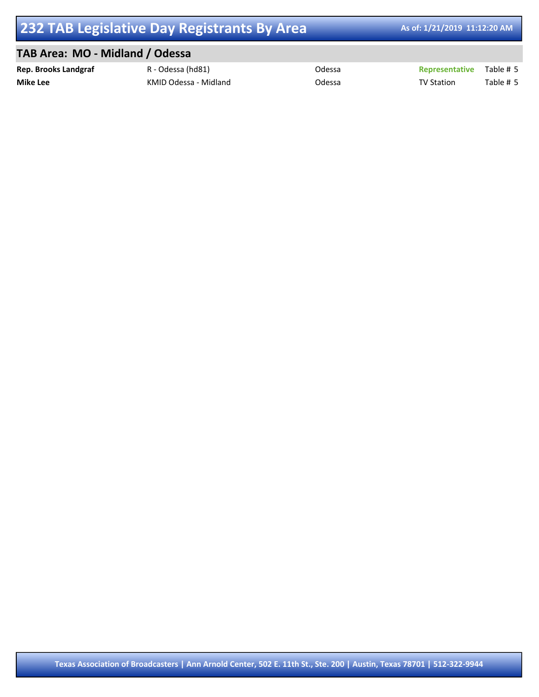## **TAB Area: MO - Midland / Odessa**

| <b>Rep. Brooks Landgraf</b> | R - Odessa (hd81)     | Odessa | <b>Representative</b> Table # 5 |           |
|-----------------------------|-----------------------|--------|---------------------------------|-----------|
| <b>Mike Lee</b>             | KMID Odessa - Midland | Odessa | <b>TV Station</b>               | Table # 5 |

**Texas Association of Broadcasters | Ann Arnold Center, 502 E. 11th St., Ste. 200 | Austin, Texas 78701 | 512-322-9944**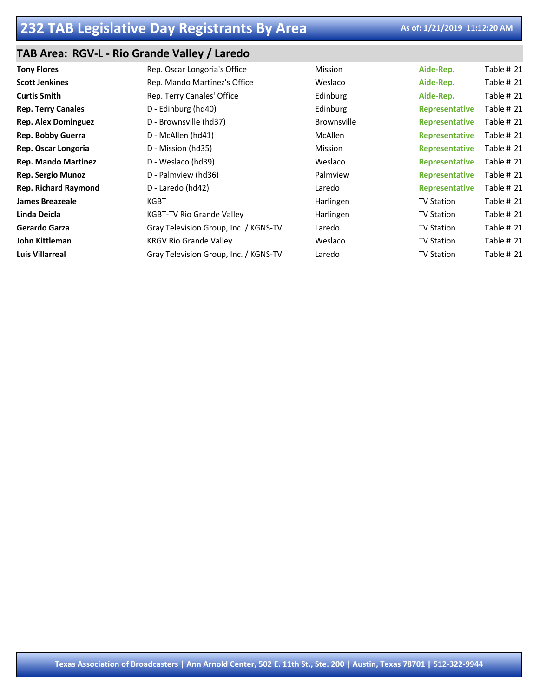## **TAB Area: RGV-L - Rio Grande Valley / Laredo**

| <b>Tony Flores</b>          | Rep. Oscar Longoria's Office          | Mission            | Aide-Rep.             | Table # 21 |
|-----------------------------|---------------------------------------|--------------------|-----------------------|------------|
| <b>Scott Jenkines</b>       | Rep. Mando Martinez's Office          | Weslaco            | Aide-Rep.             | Table # 21 |
| <b>Curtis Smith</b>         | Rep. Terry Canales' Office            | Edinburg           | Aide-Rep.             | Table # 21 |
| <b>Rep. Terry Canales</b>   | D - Edinburg (hd40)                   | Edinburg           | <b>Representative</b> | Table # 21 |
| <b>Rep. Alex Dominguez</b>  | D - Brownsville (hd37)                | <b>Brownsville</b> | <b>Representative</b> | Table # 21 |
| Rep. Bobby Guerra           | D - McAllen (hd41)                    | McAllen            | <b>Representative</b> | Table # 21 |
| Rep. Oscar Longoria         | D - Mission (hd35)                    | Mission            | <b>Representative</b> | Table # 21 |
| <b>Rep. Mando Martinez</b>  | D - Weslaco (hd39)                    | Weslaco            | <b>Representative</b> | Table # 21 |
| <b>Rep. Sergio Munoz</b>    | D - Palmview (hd36)                   | Palmview           | <b>Representative</b> | Table # 21 |
| <b>Rep. Richard Raymond</b> | D - Laredo (hd42)                     | Laredo             | <b>Representative</b> | Table # 21 |
| <b>James Breazeale</b>      | KGBT                                  | Harlingen          | <b>TV Station</b>     | Table # 21 |
| Linda Deicla                | <b>KGBT-TV Rio Grande Valley</b>      | Harlingen          | <b>TV Station</b>     | Table # 21 |
| Gerardo Garza               | Gray Television Group, Inc. / KGNS-TV | Laredo             | <b>TV Station</b>     | Table # 21 |
| John Kittleman              | <b>KRGV Rio Grande Valley</b>         | Weslaco            | <b>TV Station</b>     | Table # 21 |
| <b>Luis Villarreal</b>      | Gray Television Group, Inc. / KGNS-TV | Laredo             | <b>TV Station</b>     | Table # 21 |
|                             |                                       |                    |                       |            |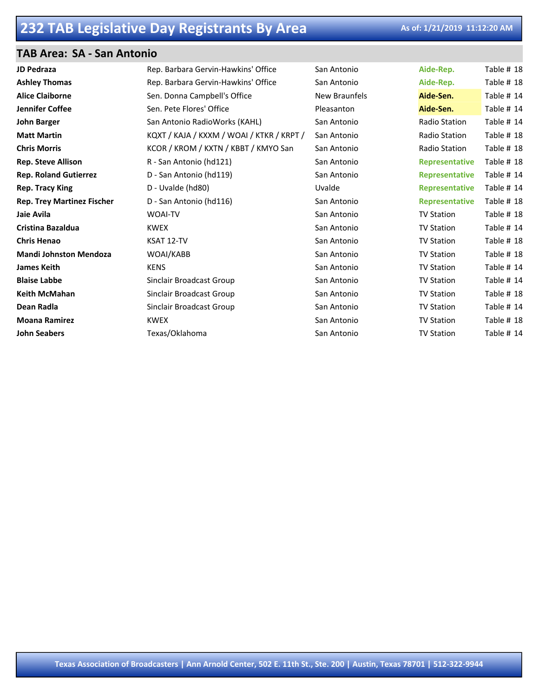### **TAB Area: SA - San Antonio**

| <b>JD Pedraza</b>                 | Rep. Barbara Gervin-Hawkins' Office       | San Antonio   | Aide-Rep.             | Table # 18 |
|-----------------------------------|-------------------------------------------|---------------|-----------------------|------------|
| <b>Ashley Thomas</b>              | Rep. Barbara Gervin-Hawkins' Office       | San Antonio   | Aide-Rep.             | Table # 18 |
| <b>Alice Claiborne</b>            | Sen. Donna Campbell's Office              | New Braunfels | Aide-Sen.             | Table # 14 |
| Jennifer Coffee                   | Sen. Pete Flores' Office                  | Pleasanton    | Aide-Sen.             | Table # 14 |
| <b>John Barger</b>                | San Antonio RadioWorks (KAHL)             | San Antonio   | Radio Station         | Table # 14 |
| <b>Matt Martin</b>                | KQXT / KAJA / KXXM / WOAI / KTKR / KRPT / | San Antonio   | Radio Station         | Table # 18 |
| <b>Chris Morris</b>               | KCOR / KROM / KXTN / KBBT / KMYO San      | San Antonio   | Radio Station         | Table # 18 |
| <b>Rep. Steve Allison</b>         | R - San Antonio (hd121)                   | San Antonio   | <b>Representative</b> | Table # 18 |
| <b>Rep. Roland Gutierrez</b>      | D - San Antonio (hd119)                   | San Antonio   | <b>Representative</b> | Table # 14 |
| <b>Rep. Tracy King</b>            | D - Uvalde (hd80)                         | Uvalde        | <b>Representative</b> | Table # 14 |
| <b>Rep. Trey Martinez Fischer</b> | D - San Antonio (hd116)                   | San Antonio   | <b>Representative</b> | Table # 18 |
| Jaie Avila                        | <b>WOAI-TV</b>                            | San Antonio   | <b>TV Station</b>     | Table # 18 |
| <b>Cristina Bazaldua</b>          | <b>KWEX</b>                               | San Antonio   | <b>TV Station</b>     | Table # 14 |
| <b>Chris Henao</b>                | KSAT 12-TV                                | San Antonio   | <b>TV Station</b>     | Table # 18 |
| <b>Mandi Johnston Mendoza</b>     | WOAI/KABB                                 | San Antonio   | <b>TV Station</b>     | Table # 18 |
| <b>James Keith</b>                | <b>KENS</b>                               | San Antonio   | <b>TV Station</b>     | Table # 14 |
| <b>Blaise Labbe</b>               | Sinclair Broadcast Group                  | San Antonio   | <b>TV Station</b>     | Table # 14 |
| <b>Keith McMahan</b>              | Sinclair Broadcast Group                  | San Antonio   | <b>TV Station</b>     | Table # 18 |
| Dean Radla                        | Sinclair Broadcast Group                  | San Antonio   | <b>TV Station</b>     | Table # 14 |
| <b>Moana Ramirez</b>              | <b>KWEX</b>                               | San Antonio   | <b>TV Station</b>     | Table # 18 |
| <b>John Seabers</b>               | Texas/Oklahoma                            | San Antonio   | <b>TV Station</b>     | Table # 14 |
|                                   |                                           |               |                       |            |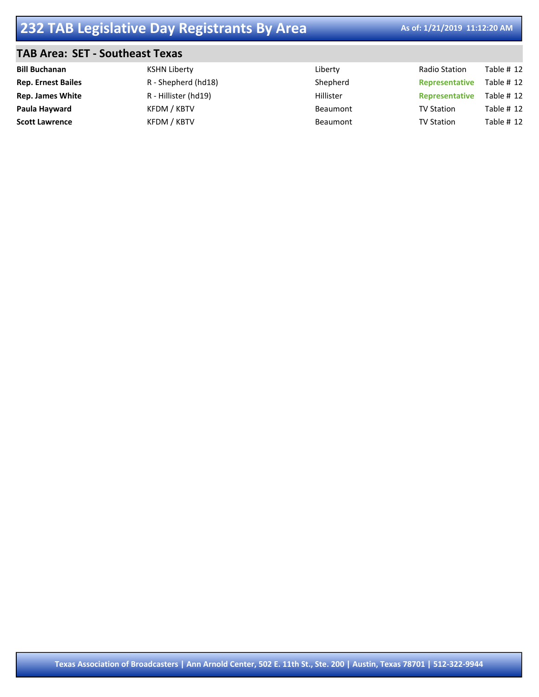## **TAB Area: SET - Southeast Texas**

| <b>Bill Buchanan</b>      | KSHN Liberty         | Liberty   | Radio Station     | Table $# 12$ |
|---------------------------|----------------------|-----------|-------------------|--------------|
| <b>Rep. Ernest Bailes</b> | R - Shepherd (hd18)  | Shepherd  | Representative    | Table $# 12$ |
| <b>Rep. James White</b>   | R - Hillister (hd19) | Hillister | Representative    | Table $# 12$ |
| Paula Hayward             | KFDM / KBTV          | Beaumont  | <b>TV Station</b> | Table $# 12$ |
| <b>Scott Lawrence</b>     | KFDM / KBTV          | Beaumont  | <b>TV Station</b> | Table $# 12$ |